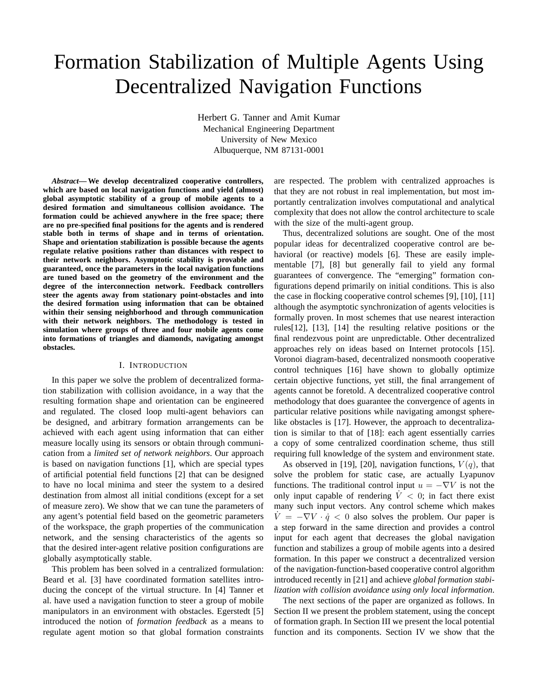# Formation Stabilization of Multiple Agents Using Decentralized Navigation Functions

Herbert G. Tanner and Amit Kumar Mechanical Engineering Department University of New Mexico Albuquerque, NM 87131-0001

*Abstract***— We develop decentralized cooperative controllers, which are based on local navigation functions and yield (almost) global asymptotic stability of a group of mobile agents to a desired formation and simultaneous collision avoidance. The formation could be achieved anywhere in the free space; there are no pre-specified final positions for the agents and is rendered stable both in terms of shape and in terms of orientation. Shape and orientation stabilization is possible because the agents regulate relative positions rather than distances with respect to their network neighbors. Asymptotic stability is provable and guaranteed, once the parameters in the local navigation functions are tuned based on the geometry of the environment and the degree of the interconnection network. Feedback controllers steer the agents away from stationary point-obstacles and into the desired formation using information that can be obtained within their sensing neighborhood and through communication with their network neighbors. The methodology is tested in simulation where groups of three and four mobile agents come into formations of triangles and diamonds, navigating amongst obstacles.**

#### I. INTRODUCTION

In this paper we solve the problem of decentralized formation stabilization with collision avoidance, in a way that the resulting formation shape and orientation can be engineered and regulated. The closed loop multi-agent behaviors can be designed, and arbitrary formation arrangements can be achieved with each agent using information that can either measure locally using its sensors or obtain through communication from a *limited set of network neighbors*. Our approach is based on navigation functions [1], which are special types of artificial potential field functions [2] that can be designed to have no local minima and steer the system to a desired destination from almost all initial conditions (except for a set of measure zero). We show that we can tune the parameters of any agent's potential field based on the geometric parameters of the workspace, the graph properties of the communication network, and the sensing characteristics of the agents so that the desired inter-agent relative position configurations are globally asymptotically stable.

This problem has been solved in a centralized formulation: Beard et al. [3] have coordinated formation satellites introducing the concept of the virtual structure. In [4] Tanner et al. have used a navigation function to steer a group of mobile manipulators in an environment with obstacles. Egerstedt [5] introduced the notion of *formation feedback* as a means to regulate agent motion so that global formation constraints are respected. The problem with centralized approaches is that they are not robust in real implementation, but most importantly centralization involves computational and analytical complexity that does not allow the control architecture to scale with the size of the multi-agent group.

Thus, decentralized solutions are sought. One of the most popular ideas for decentralized cooperative control are behavioral (or reactive) models [6]. These are easily implementable [7], [8] but generally fail to yield any formal guarantees of convergence. The "emerging" formation configurations depend primarily on initial conditions. This is also the case in flocking cooperative control schemes [9], [10], [11] although the asymptotic synchronization of agents velocities is formally proven. In most schemes that use nearest interaction rules[12], [13], [14] the resulting relative positions or the final rendezvous point are unpredictable. Other decentralized approaches rely on ideas based on Internet protocols [15]. Voronoi diagram-based, decentralized nonsmooth cooperative control techniques [16] have shown to globally optimize certain objective functions, yet still, the final arrangement of agents cannot be foretold. A decentralized cooperative control methodology that does guarantee the convergence of agents in particular relative positions while navigating amongst spherelike obstacles is [17]. However, the approach to decentralization is similar to that of [18]: each agent essentially carries a copy of some centralized coordination scheme, thus still requiring full knowledge of the system and environment state.

As observed in [19], [20], navigation functions,  $V(q)$ , that solve the problem for static case, are actually Lyapunov functions. The traditional control input  $u = -\nabla V$  is not the only input capable of rendering  $V < 0$ ; in fact there exist many such input vectors. Any control scheme which makes  $\dot{V} = -\nabla V \cdot \dot{q} < 0$  also solves the problem. Our paper is a step forward in the same direction and provides a control input for each agent that decreases the global navigation function and stabilizes a group of mobile agents into a desired formation. In this paper we construct a decentralized version of the navigation-function-based cooperative control algorithm introduced recently in [21] and achieve *global formation stabilization with collision avoidance using only local information.*

The next sections of the paper are organized as follows. In Section II we present the problem statement, using the concept of formation graph. In Section III we present the local potential function and its components. Section IV we show that the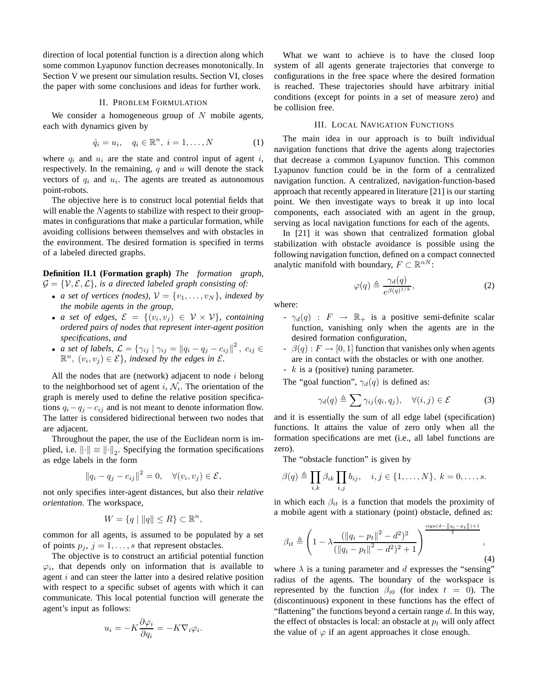direction of local potential function is a direction along which some common Lyapunov function decreases monotonically. In Section V we present our simulation results. Section VI, closes the paper with some conclusions and ideas for further work.

#### II. PROBLEM FORMULATION

We consider a homogeneous group of  $N$  mobile agents, each with dynamics given by

$$
\dot{q}_i = u_i, \quad q_i \in \mathbb{R}^n, \ i = 1, \dots, N \tag{1}
$$

where  $q_i$  and  $u_i$  are the state and control input of agent i, respectively. In the remaining,  $q$  and  $u$  will denote the stack vectors of  $q_i$  and  $u_i$ . The agents are treated as autonomous point-robots.

The objective here is to construct local potential fields that will enable the Nagents to stabilize with respect to their groupmates in configurations that make a particular formation, while avoiding collisions between themselves and with obstacles in the environment. The desired formation is specified in terms of a labeled directed graphs.

**Definition II.1 (Formation graph)** *The formation graph,*  $\mathcal{G} = \{\mathcal{V}, \mathcal{E}, \mathcal{L}\}\$ , is a directed labeled graph consisting of:

- *a set of vertices (nodes),*  $V = \{v_1, \ldots, v_N\}$ *, indexed by the mobile agents in the group,*
- *a set of edges,*  $\mathcal{E} = \{(v_i, v_j) \in \mathcal{V} \times \mathcal{V}\}\$ , containing *ordered pairs of nodes that represent inter-agent position specifications, and*
- *a set of labels,*  $\mathcal{L} = \{ \gamma_{ij} \mid \gamma_{ij} = ||q_i q_j c_{ij}||^2, c_{ij} \in$  $\mathbb{R}^n$ ,  $(v_i, v_j) \in \mathcal{E}$ , indexed by the edges in  $\mathcal{E}$ .

All the nodes that are (network) adjacent to node  $i$  belong to the neighborhood set of agent i,  $N_i$ . The orientation of the graph is merely used to define the relative position specifications  $q_i - q_j - c_{ij}$  and is not meant to denote information flow. The latter is considered bidirectional between two nodes that are adjacent.

Throughout the paper, the use of the Euclidean norm is implied, i.e.  $\left\| \cdot \right\| \equiv \left\| \cdot \right\|_2$ . Specifying the formation specifications as edge labels in the form

$$
||q_i - q_j - c_{ij}||^2 = 0, \quad \forall (v_i, v_j) \in \mathcal{E},
$$

not only specifies inter-agent distances, but also their *relative orientation*. The workspace,

$$
W = \{q \mid ||q|| \le R\} \subset \mathbb{R}^n,
$$

common for all agents, is assumed to be populated by a set of points  $p_j$ ,  $j = 1, \ldots, s$  that represent obstacles.

The objective is to construct an artificial potential function  $\varphi_i$ , that depends only on information that is available to agent i and can steer the latter into a desired relative position with respect to a specific subset of agents with which it can communicate. This local potential function will generate the agent's input as follows:

$$
u_i = -K \frac{\partial \varphi_i}{\partial q_i} = -K \nabla_i \varphi_i.
$$

What we want to achieve is to have the closed loop system of all agents generate trajectories that converge to configurations in the free space where the desired formation is reached. These trajectories should have arbitrary initial conditions (except for points in a set of measure zero) and be collision free.

#### III. LOCAL NAVIGATION FUNCTIONS

The main idea in our approach is to built individual navigation functions that drive the agents along trajectories that decrease a common Lyapunov function. This common Lyapunov function could be in the form of a centralized navigation function. A centralized, navigation-function-based approach that recently appeared in literature [21] is our starting point. We then investigate ways to break it up into local components, each associated with an agent in the group, serving as local navigation functions for each of the agents.

In [21] it was shown that centralized formation global stabilization with obstacle avoidance is possible using the following navigation function, defined on a compact connected analytic manifold with boundary,  $F \subset \mathbb{R}^{n}$ :

$$
\varphi(q) \triangleq \frac{\gamma_d(q)}{e^{\beta(q)^{1/k}}},\tag{2}
$$

where:

- $-\gamma_d(q)$  :  $F \rightarrow \mathbb{R}_+$  is a positive semi-definite scalar function, vanishing only when the agents are in the desired formation configuration,
- $\beta(q) : F \to [0, 1]$  function that vanishes only when agents are in contact with the obstacles or with one another.
- k is a (positive) tuning parameter.

The "goal function",  $\gamma_d(q)$  is defined as:

$$
\gamma_d(q) \triangleq \sum \gamma_{ij}(q_i, q_j), \quad \forall (i, j) \in \mathcal{E}
$$
 (3)

and it is essentially the sum of all edge label (specification) functions. It attains the value of zero only when all the formation specifications are met (i.e., all label functions are zero).

The "obstacle function" is given by

$$
\beta(q) \triangleq \prod_{i,k} \beta_{ik} \prod_{i,j} b_{ij}, \quad i,j \in \{1,\ldots,N\}, k = 0,\ldots,s.
$$

in which each  $\beta_{it}$  is a function that models the proximity of a mobile agent with a stationary (point) obstacle, defined as:

$$
\beta_{it} \triangleq \left(1 - \lambda \frac{(\|q_i - p_t\|^2 - d^2)^2}{(\|q_i - p_t\|^2 - d^2)^2 + 1}\right)^{\frac{\text{sign}(d - \|q_i - p_t\|) + 1}{2}}, \tag{4}
$$

where  $\lambda$  is a tuning parameter and d expresses the "sensing" radius of the agents. The boundary of the workspace is represented by the function  $\beta_{i0}$  (for index  $t = 0$ ). The (discontinuous) exponent in these functions has the effect of "flattening" the functions beyond a certain range  $d$ . In this way, the effect of obstacles is local: an obstacle at  $p_t$  will only affect the value of  $\varphi$  if an agent approaches it close enough.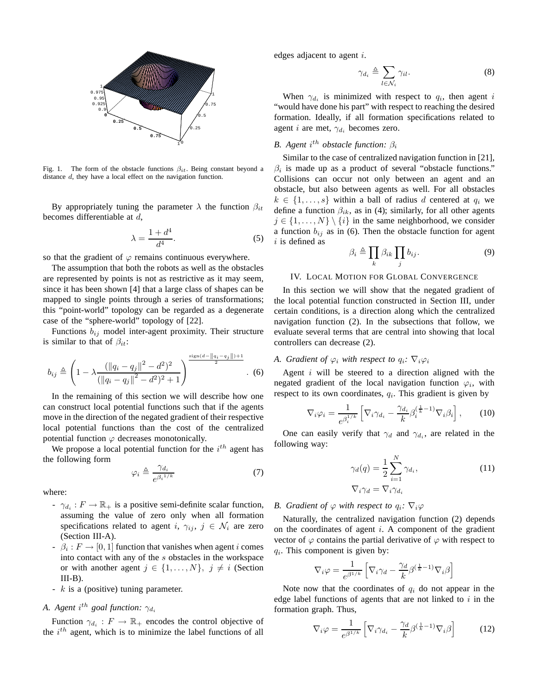

Fig. 1. The form of the obstacle functions  $\beta_{it}$ . Being constant beyond a distance d, they have a local effect on the navigation function.

By appropriately tuning the parameter  $\lambda$  the function  $\beta_{it}$ becomes differentiable at d,

$$
\lambda = \frac{1 + d^4}{d^4}.\tag{5}
$$

so that the gradient of  $\varphi$  remains continuous everywhere.

The assumption that both the robots as well as the obstacles are represented by points is not as restrictive as it may seem, since it has been shown [4] that a large class of shapes can be mapped to single points through a series of transformations; this "point-world" topology can be regarded as a degenerate case of the "sphere-world" topology of [22].

Functions  $b_{ij}$  model inter-agent proximity. Their structure is similar to that of  $\beta_{it}$ :

$$
b_{ij} \triangleq \left(1 - \lambda \frac{\left(\|q_i - q_j\|^2 - d^2\right)^2}{\left(\|q_i - q_j\|^2 - d^2\right)^2 + 1}\right)^{\frac{\text{sign}(d - \|q_i - q_j\|) + 1}{2}}.\tag{6}
$$

In the remaining of this section we will describe how one can construct local potential functions such that if the agents move in the direction of the negated gradient of their respective local potential functions than the cost of the centralized potential function  $\varphi$  decreases monotonically.

We propose a local potential function for the  $i^{th}$  agent has the following form

$$
\varphi_i \triangleq \frac{\gamma_{d_i}}{e^{\beta_i^{1/k}}} \tag{7}
$$

where:

- $\gamma_{d_i}: F \to \mathbb{R}_+$  is a positive semi-definite scalar function, assuming the value of zero only when all formation specifications related to agent i,  $\gamma_{ij}$ ,  $j \in \mathcal{N}_i$  are zero (Section III-A).
- $\beta_i : F \to [0, 1]$  function that vanishes when agent *i* comes into contact with any of the s obstacles in the workspace or with another agent  $j \in \{1, \ldots, N\}$ ,  $j \neq i$  (Section  $III-B$ ).
- $-k$  is a (positive) tuning parameter.

# *A. Agent*  $i^{th}$  *goal function:*  $\gamma_{d_i}$

Function  $\gamma_{d_i}: F \to \mathbb{R}_+$  encodes the control objective of the  $i^{th}$  agent, which is to minimize the label functions of all edges adjacent to agent i.

$$
\gamma_{d_i} \triangleq \sum_{l \in \mathcal{N}_i} \gamma_{il}.\tag{8}
$$

When  $\gamma_{d_i}$  is minimized with respect to  $q_i$ , then agent i "would have done his part" with respect to reaching the desired formation. Ideally, if all formation specifications related to agent i are met,  $\gamma_{d_i}$  becomes zero.

## *B.* Agent  $i^{th}$  obstacle function:  $\beta_i$

Similar to the case of centralized navigation function in [21],  $\beta_i$  is made up as a product of several "obstacle functions." Collisions can occur not only between an agent and an obstacle, but also between agents as well. For all obstacles  $k \in \{1, \ldots, s\}$  within a ball of radius d centered at  $q_i$  we define a function  $\beta_{ik}$ , as in (4); similarly, for all other agents  $j \in \{1, ..., N\} \setminus \{i\}$  in the same neighborhood, we consider a function  $b_{ij}$  as in (6). Then the obstacle function for agent  $i$  is defined as

$$
\beta_i \triangleq \prod_k \beta_{ik} \prod_j b_{ij}.
$$
 (9)

#### IV. LOCAL MOTION FOR GLOBAL CONVERGENCE

In this section we will show that the negated gradient of the local potential function constructed in Section III, under certain conditions, is a direction along which the centralized navigation function (2). In the subsections that follow, we evaluate several terms that are central into showing that local controllers can decrease (2).

## *A. Gradient of*  $\varphi_i$  *with respect to*  $q_i$ *:*  $\nabla_i \varphi_i$

Agent  $i$  will be steered to a direction aligned with the negated gradient of the local navigation function  $\varphi_i$ , with respect to its own coordinates,  $q_i$ . This gradient is given by

$$
\nabla_i \varphi_i = \frac{1}{e^{\beta_i^{1/k}}} \left[ \nabla_i \gamma_{d_i} - \frac{\gamma_{d_i}}{k} \beta_i^{\left(\frac{1}{k} - 1\right)} \nabla_i \beta_i \right],\tag{10}
$$

One can easily verify that  $\gamma_d$  and  $\gamma_{d_i}$ , are related in the following way:

$$
\gamma_d(q) = \frac{1}{2} \sum_{i=1}^{N} \gamma_{d_i},
$$
  
\n
$$
\nabla_i \gamma_d = \nabla_i \gamma_{d_i}
$$
\n(11)

#### *B. Gradient of*  $\varphi$  *with respect to*  $q_i$ *:*  $\nabla_i \varphi$

Naturally, the centralized navigation function (2) depends on the coordinates of agent  $i$ . A component of the gradient vector of  $\varphi$  contains the partial derivative of  $\varphi$  with respect to  $q_i$ . This component is given by:

$$
\nabla_i \varphi = \frac{1}{e^{\beta^{1/k}}} \left[ \nabla_i \gamma_d - \frac{\gamma_d}{k} \beta^{(\frac{1}{k}-1)} \nabla_i \beta \right]
$$

Note now that the coordinates of  $q_i$  do not appear in the edge label functions of agents that are not linked to  $i$  in the formation graph. Thus,

$$
\nabla_i \varphi = \frac{1}{e^{\beta^{1/k}}} \left[ \nabla_i \gamma_{d_i} - \frac{\gamma_d}{k} \beta^{(\frac{1}{k} - 1)} \nabla_i \beta \right]
$$
(12)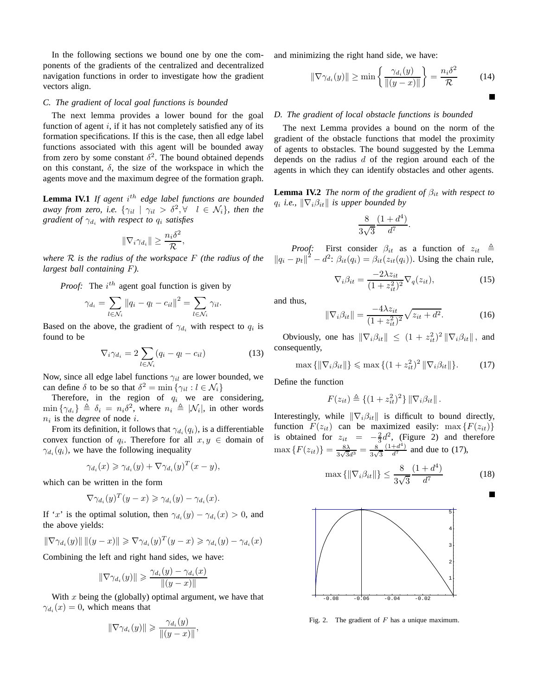In the following sections we bound one by one the components of the gradients of the centralized and decentralized navigation functions in order to investigate how the gradient vectors align.

## *C. The gradient of local goal functions is bounded*

The next lemma provides a lower bound for the goal function of agent  $i$ , if it has not completely satisfied any of its formation specifications. If this is the case, then all edge label functions associated with this agent will be bounded away from zero by some constant  $\delta^2$ . The bound obtained depends on this constant,  $\delta$ , the size of the workspace in which the agents move and the maximum degree of the formation graph.

**Lemma IV.1** *If agent*  $i^{th}$  *edge label functions are bounded away from zero, i.e.*  $\{\gamma_{il} \mid \gamma_{il} > \delta^2, \forall \quad l \in \mathcal{N}_i\}$ , then the *gradient of*  $\gamma_{d_i}$  *with respect to*  $q_i$  *satisfies* 

$$
\|\nabla_i \gamma_{d_i}\| \ge \frac{n_i \delta^2}{\mathcal{R}},
$$

*where* R *is the radius of the workspace* F *(the radius of the largest ball containing* F*).*

*Proof:* The  $i^{th}$  agent goal function is given by

$$
\gamma_{d_i} = \sum_{l \in \mathcal{N}_i} ||q_i - q_l - c_{il}||^2 = \sum_{l \in \mathcal{N}_i} \gamma_{il}.
$$

Based on the above, the gradient of  $\gamma_{d_i}$  with respect to  $q_i$  is found to be

$$
\nabla_i \gamma_{d_i} = 2 \sum_{l \in \mathcal{N}_i} (q_i - q_l - c_{il}) \tag{13}
$$

Now, since all edge label functions  $\gamma_{il}$  are lower bounded, we can define  $\delta$  to be so that  $\delta^2 = \min \{ \gamma_{il} : l \in \mathcal{N}_i \}$ 

Therefore, in the region of  $q_i$  we are considering,  $\min \{\gamma_{d_i}\} \triangleq \delta_i = n_i \delta^2$ , where  $n_i \triangleq |\mathcal{N}_i|$ , in other words  $n_i$  is the *degree* of node *i*.

From its definition, it follows that  $\gamma_{d_i}(q_i)$ , is a differentiable convex function of  $q_i$ . Therefore for all  $x, y \in \text{domain of}$  $\gamma_{d_i}(q_i)$ , we have the following inequality

$$
\gamma_{d_i}(x) \geqslant \gamma_{d_i}(y) + \nabla \gamma_{d_i}(y)^T (x - y),
$$

which can be written in the form

$$
\nabla \gamma_{d_i}(y)^T (y - x) \geq \gamma_{d_i}(y) - \gamma_{d_i}(x).
$$

If 'x' is the optimal solution, then  $\gamma_{d_i}(y) - \gamma_{d_i}(x) > 0$ , and the above yields:

$$
\|\nabla \gamma_{d_i}(y)\| \|(y-x)\| \geqslant \nabla \gamma_{d_i}(y)^T (y-x) \geqslant \gamma_{d_i}(y) - \gamma_{d_i}(x)
$$

Combining the left and right hand sides, we have:

$$
\|\nabla \gamma_{d_i}(y)\| \ge \frac{\gamma_{d_i}(y) - \gamma_{d_i}(x)}{\|(y - x)\|}
$$

With  $x$  being the (globally) optimal argument, we have that  $\gamma_{d_i}(x) = 0$ , which means that

$$
\|\nabla \gamma_{d_i}(y)\| \geq \frac{\gamma_{d_i}(y)}{\|(y-x)\|}
$$

,

and minimizing the right hand side, we have:

$$
\|\nabla \gamma_{d_i}(y)\| \ge \min\left\{\frac{\gamma_{d_i}(y)}{\|(y-x)\|}\right\} = \frac{n_i \delta^2}{\mathcal{R}} \tag{14}
$$

#### *D. The gradient of local obstacle functions is bounded*

The next Lemma provides a bound on the norm of the gradient of the obstacle functions that model the proximity of agents to obstacles. The bound suggested by the Lemma depends on the radius  $d$  of the region around each of the agents in which they can identify obstacles and other agents.

**Lemma IV.2** *The norm of the gradient of*  $\beta_{it}$  *with respect to*  $q_i$  *i.e.,*  $\|\nabla_i \beta_{it}\|$  *is upper bounded by* 

$$
\frac{8}{3\sqrt{3}}\frac{(1+d^4)}{d^7}.
$$

*Proof:* First consider  $\beta_{it}$  as a function of  $z_{it} \triangleq$  $\left\| q_i - p_t \right\|^2 - d^2$ :  $\beta_{it}(q_i) = \beta_{it}(z_{it}(q_i))$ . Using the chain rule,

$$
\nabla_i \beta_{it} = \frac{-2\lambda z_{it}}{(1 + z_{it}^2)^2} \nabla_q(z_{it}),\tag{15}
$$

and thus,

$$
\|\nabla_i \beta_{it}\| = \frac{-4\lambda z_{it}}{(1 + z_{it}^2)^2} \sqrt{z_{it} + d^2}.
$$
 (16)

Obviously, one has  $\|\nabla_i \beta_{it}\| \le (1 + z_{it}^2)^2 \|\nabla_i \beta_{it}\|$ , and consequently,

$$
\max\left\{\left\|\nabla_i\beta_{it}\right\|\right\} \leqslant \max\left\{(1+z_{it}^2)^2\left\|\nabla_i\beta_{it}\right\|\right\}.\tag{17}
$$

Define the function

$$
F(z_{it}) \triangleq \{(1+z_{it}^2)^2\} \|\nabla_i \beta_{it}\|.
$$

Interestingly, while  $\|\nabla_i \beta_{it}\|$  is difficult to bound directly, function  $F(z_{it})$  can be maximized easily: max  $\{F(z_{it})\}$ is obtained for  $z_{it} = -\frac{2}{3}d^2$ , (Figure 2) and therefore  $\max\left\{F(z_{it})\right\} = \frac{8\lambda}{3\sqrt{3}a}$  $\frac{8\lambda}{3\sqrt{3}d^3} = \frac{8}{3\sqrt{3}}$  $\frac{8}{3\sqrt{3}}$  $\frac{(1+d^4)}{d^7}$  and due to (17),

$$
\max\left\{\|\nabla_i \beta_{it}\|\right\} \le \frac{8}{3\sqrt{3}} \frac{(1+d^4)}{d^7} \tag{18}
$$

П



Fig. 2. The gradient of  $F$  has a unique maximum.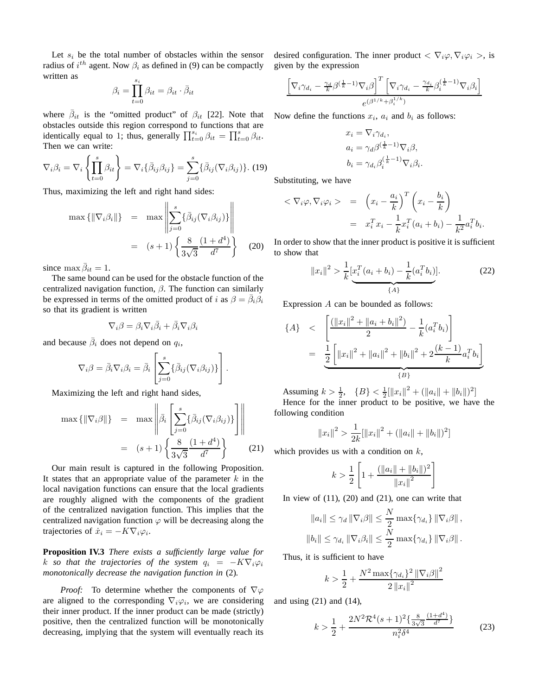Let  $s_i$  be the total number of obstacles within the sensor radius of  $i^{th}$  agent. Now  $\beta_i$  as defined in (9) can be compactly written as

$$
\beta_i = \prod_{t=0}^{s_i} \beta_{it} = \beta_{it} \cdot \bar{\beta}_{it}
$$

where  $\bar{\beta}_{it}$  is the "omitted product" of  $\beta_{it}$  [22]. Note that obstacles outside this region correspond to functions that are identically equal to 1; thus, generally  $\prod_{t=0}^{s_i} \beta_{it} = \prod_{t=0}^{s} \beta_{it}$ . Then we can write:

$$
\nabla_i \beta_i = \nabla_i \left\{ \prod_{t=0}^s \beta_{it} \right\} = \nabla_i \{ \bar{\beta}_{ij} \beta_{ij} \} = \sum_{j=0}^s \{ \bar{\beta}_{ij} (\nabla_i \beta_{ij}) \}.
$$
 (19)

Thus, maximizing the left and right hand sides:

$$
\max \{ \|\nabla_i \beta_i\| \} = \max \left\| \sum_{j=0}^s \{ \bar{\beta}_{ij} (\nabla_i \beta_{ij}) \} \right\|
$$

$$
= (s+1) \left\{ \frac{8}{3\sqrt{3}} \frac{(1+d^4)}{d^7} \right\} (20)
$$

since  $\max \bar{\beta}_{it} = 1$ .

The same bound can be used for the obstacle function of the centralized navigation function,  $\beta$ . The function can similarly be expressed in terms of the omitted product of i as  $\beta = \bar{\beta}_i \dot{\beta}_i$ so that its gradient is written

$$
\nabla_i \beta = \beta_i \nabla_i \bar{\beta}_i + \bar{\beta}_i \nabla_i \beta_i
$$

and because  $\bar{\beta}_i$  does not depend on  $q_i$ ,

$$
\nabla_i \beta = \bar{\beta}_i \nabla_i \beta_i = \bar{\beta}_i \left[ \sum_{j=0}^s \{ \bar{\beta}_{ij} (\nabla_i \beta_{ij}) \} \right].
$$

Maximizing the left and right hand sides,

$$
\max \{ \|\nabla_i \beta\| \} = \max \left\| \bar{\beta}_i \left[ \sum_{j=0}^s \{ \bar{\beta}_{ij} (\nabla_i \beta_{ij}) \} \right] \right\|
$$

$$
= (s+1) \left\{ \frac{8}{3\sqrt{3}} \frac{(1+d^4)}{d^7} \right\} \qquad (21)
$$

Our main result is captured in the following Proposition. It states that an appropriate value of the parameter  $k$  in the local navigation functions can ensure that the local gradients are roughly aligned with the components of the gradient of the centralized navigation function. This implies that the centralized navigation function  $\varphi$  will be decreasing along the trajectories of  $\dot{x}_i = -K \nabla_i \varphi_i$ .

**Proposition IV.3** *There exists a sufficiently large value for* k so that the trajectories of the system  $q_i = -K\nabla_i\varphi_i$ *monotonically decrease the navigation function in* (2)*.*

*Proof:* To determine whether the components of  $\nabla\varphi$ are aligned to the corresponding  $\nabla_i \varphi_i$ , we are considering their inner product. If the inner product can be made (strictly) positive, then the centralized function will be monotonically decreasing, implying that the system will eventually reach its desired configuration. The inner product  $\langle \nabla_i \varphi, \nabla_i \varphi_i \rangle$ , is given by the expression

$$
\frac{\left[\nabla_i\gamma_{d_i} - \frac{\gamma_d}{k}\beta^{(\frac{1}{k}-1)}\nabla_i\beta\right]^T \left[\nabla_i\gamma_{d_i} - \frac{\gamma_{d_i}}{k}\beta_i^{(\frac{1}{k}-1)}\nabla_i\beta_i\right]}{e^{(\beta^{1/k} + \beta_i^{1/k})}}
$$

Now define the functions  $x_i$ ,  $a_i$  and  $b_i$  as follows:

$$
x_i = \nabla_i \gamma_{d_i},
$$
  
\n
$$
a_i = \gamma_d \beta^{(\frac{1}{k}-1)} \nabla_i \beta,
$$
  
\n
$$
b_i = \gamma_{d_i} \beta_i^{(\frac{1}{k}-1)} \nabla_i \beta_i.
$$

Substituting, we have

$$
<\nabla_i \varphi, \nabla_i \varphi_i >
$$
 =  $\left(x_i - \frac{a_i}{k}\right)^T \left(x_i - \frac{b_i}{k}\right)$   
 =  $x_i^T x_i - \frac{1}{k} x_i^T (a_i + b_i) - \frac{1}{k^2} a_i^T b_i.$ 

In order to show that the inner product is positive it is sufficient to show that

$$
||x_i||^2 > \frac{1}{k} \left[ x_i^T (a_i + b_i) - \frac{1}{k} (a_i^T b_i) \right].
$$
 (22)

Expression A can be bounded as follows:

$$
\{A\} \quad < \quad \left[ \frac{\left( \left\| x_i \right\|^2 + \left\| a_i + b_i \right\|^2 \right)}{2} - \frac{1}{k} (a_i^T b_i) \right] \\
= \quad \underbrace{\frac{1}{2} \left[ \left\| x_i \right\|^2 + \left\| a_i \right\|^2 + \left\| b_i \right\|^2 + 2 \frac{(k-1)}{k} a_i^T b_i \right]}_{\{B\}}
$$

Assuming  $k > \frac{1}{2}$ ,  $\{B\} < \frac{1}{2}$ [|| $x_i$ ||<sup>2</sup> + (|| $a_i$ || + || $b_i$ ||)<sup>2</sup>] Hence for the inner product to be positive, we have the following condition

$$
||x_i||^2 > \frac{1}{2k} [||x_i||^2 + (||a_i|| + ||b_i||)^2]
$$

which provides us with a condition on  $k$ ,

$$
k > \frac{1}{2} \left[ 1 + \frac{(\|a_i\| + \|b_i\|)^2}{\|x_i\|^2} \right]
$$

In view of  $(11)$ ,  $(20)$  and  $(21)$ , one can write that

$$
||a_i|| \leq \gamma_d ||\nabla_i \beta|| \leq \frac{N}{2} \max\{\gamma_{d_i}\} ||\nabla_i \beta||,
$$
  

$$
||b_i|| \leq \gamma_{d_i} ||\nabla_i \beta_i|| \leq \frac{N}{2} \max\{\gamma_{d_i}\} ||\nabla_i \beta||.
$$

Thus, it is sufficient to have

$$
k > \frac{1}{2} + \frac{N^2 \max\{\gamma_{d_i}\}^2 \left\|\nabla_i \beta\right\|^2}{2 \left\|x_i\right\|^2}
$$

and using (21) and (14),

$$
k > \frac{1}{2} + \frac{2N^2 \mathcal{R}^4 (s+1)^2 \left\{ \frac{8}{3\sqrt{3}} \frac{(1+d^4)}{d^7} \right\}}{n_i^2 \delta^4} \tag{23}
$$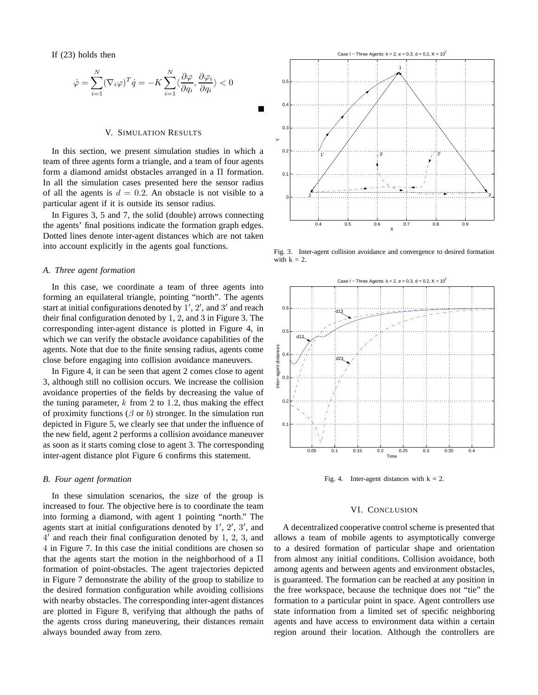If (23) holds then

$$
\dot{\varphi} = \sum_{i=1}^{N} (\nabla_i \varphi)^T \dot{q} = -K \sum_{i=1}^{N} \langle \frac{\partial \varphi}{\partial q_i}, \frac{\partial \varphi_i}{\partial q_i} \rangle < 0
$$

#### V. SIMULATION RESULTS

In this section, we present simulation studies in which a team of three agents form a triangle, and a team of four agents form a diamond amidst obstacles arranged in a Π formation. In all the simulation cases presented here the sensor radius of all the agents is  $d = 0.2$ . An obstacle is not visible to a particular agent if it is outside its sensor radius.

In Figures 3, 5 and 7, the solid (double) arrows connecting the agents' final positions indicate the formation graph edges. Dotted lines denote inter-agent distances which are not taken into account explicitly in the agents goal functions.

#### *A. Three agent formation*

In this case, we coordinate a team of three agents into forming an equilateral triangle, pointing "north". The agents start at initial configurations denoted by  $1', 2'$ , and  $3'$  and reach their final configuration denoted by 1, 2, and 3 in Figure 3. The corresponding inter-agent distance is plotted in Figure 4, in which we can verify the obstacle avoidance capabilities of the agents. Note that due to the finite sensing radius, agents come close before engaging into collision avoidance maneuvers.

In Figure 4, it can be seen that agent 2 comes close to agent 3, although still no collision occurs. We increase the collision avoidance properties of the fields by decreasing the value of the tuning parameter,  $k$  from 2 to 1.2, thus making the effect of proximity functions ( $\beta$  or b) stronger. In the simulation run depicted in Figure 5, we clearly see that under the influence of the new field, agent 2 performs a collision avoidance maneuver as soon as it starts coming close to agent 3. The corresponding inter-agent distance plot Figure 6 confirms this statement.

#### *B. Four agent formation*

In these simulation scenarios, the size of the group is increased to four. The objective here is to coordinate the team into forming a diamond, with agent 1 pointing "north." The agents start at initial configurations denoted by  $1', 2', 3'$ , and 4 ′ and reach their final configuration denoted by 1, 2, 3, and 4 in Figure 7. In this case the initial conditions are chosen so that the agents start the motion in the neighborhood of a Π formation of point-obstacles. The agent trajectories depicted in Figure 7 demonstrate the ability of the group to stabilize to the desired formation configuration while avoiding collisions with nearby obstacles. The corresponding inter-agent distances are plotted in Figure 8, verifying that although the paths of the agents cross during maneuvering, their distances remain always bounded away from zero.



Fig. 3. Inter-agent collision avoidance and convergence to desired formation with  $k = 2$ .



Fig. 4. Inter-agent distances with  $k = 2$ .

#### VI. CONCLUSION

A decentralized cooperative control scheme is presented that allows a team of mobile agents to asymptotically converge to a desired formation of particular shape and orientation from almost any initial conditions. Collision avoidance, both among agents and between agents and environment obstacles, is guaranteed. The formation can be reached at any position in the free workspace, because the technique does not "tie" the formation to a particular point in space. Agent controllers use state information from a limited set of specific neighboring agents and have access to environment data within a certain region around their location. Although the controllers are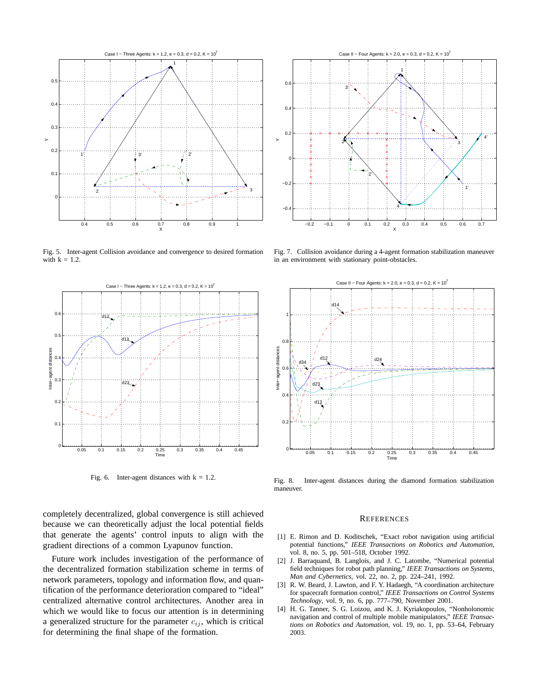

Fig. 5. Inter-agent Collision avoidance and convergence to desired formation with  $k = 1.2$ .



Fig. 6. Inter-agent distances with  $k = 1.2$ .

completely decentralized, global convergence is still achieved because we can theoretically adjust the local potential fields that generate the agents' control inputs to align with the gradient directions of a common Lyapunov function.

Future work includes investigation of the performance of the decentralized formation stabilization scheme in terms of network parameters, topology and information flow, and quantification of the performance deterioration compared to "ideal" centralized alternative control architectures. Another area in which we would like to focus our attention is in determining a generalized structure for the parameter  $c_{ij}$ , which is critical for determining the final shape of the formation.



Fig. 7. Collision avoidance during a 4-agent formation stabilization maneuver in an environment with stationary point-obstacles.



Fig. 8. Inter-agent distances during the diamond formation stabilization maneuver.

#### **REFERENCES**

- [1] E. Rimon and D. Koditschek, "Exact robot navigation using artificial potential functions," *IEEE Transactions on Robotics and Automation*, vol. 8, no. 5, pp. 501–518, October 1992.
- [2] J. Barraquand, B. Langlois, and J. C. Latombe, "Numerical potential field techniques for robot path planning," *IEEE Transactions on Systems, Man and Cybernetics*, vol. 22, no. 2, pp. 224–241, 1992.
- [3] R. W. Beard, J. Lawton, and F. Y. Hadaegh, "A coordination architecture for spacecraft formation control," *IEEE Transactions on Control Systems Technology*, vol. 9, no. 6, pp. 777–790, November 2001.
- [4] H. G. Tanner, S. G. Loizou, and K. J. Kyriakopoulos, "Nonholonomic navigation and control of multiple mobile manipulators," *IEEE Transactions on Robotics and Automation*, vol. 19, no. 1, pp. 53–64, February 2003.